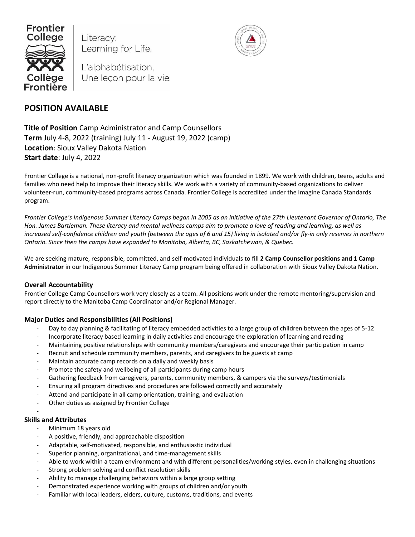

Literacy: Learning for Life.



L'alphabétisation, Une leçon pour la vie.

# **POSITION AVAILABLE**

**Title of Position** Camp Administrator and Camp Counsellors **Term** July 4-8, 2022 (training) July 11 - August 19, 2022 (camp) **Location**: Sioux Valley Dakota Nation **Start date**: July 4, 2022

Frontier College is a national, non-profit literacy organization which was founded in 1899. We work with children, teens, adults and families who need help to improve their literacy skills. We work with a variety of community-based organizations to deliver volunteer-run, community-based programs across Canada. Frontier College is accredited under the Imagine Canada Standards program.

*Frontier College's Indigenous Summer Literacy Camps began in 2005 as an initiative of the 27th Lieutenant Governor of Ontario, The Hon. James Bartleman. These literacy and mental wellness camps aim to promote a love of reading and learning, as well as increased self-confidence children and youth (between the ages of 6 and 15) living in isolated and/or fly-in only reserves in northern Ontario. Since then the camps have expanded to Manitoba, Alberta, BC, Saskatchewan, & Quebec.*

We are seeking mature, responsible, committed, and self-motivated individuals to fill **2 Camp Counsellor positions and 1 Camp Administrator** in our Indigenous Summer Literacy Camp program being offered in collaboration with Sioux Valley Dakota Nation.

# **Overall Accountability**

Frontier College Camp Counsellors work very closely as a team. All positions work under the remote mentoring/supervision and report directly to the Manitoba Camp Coordinator and/or Regional Manager.

# **Major Duties and Responsibilities (All Positions)**

- Day to day planning & facilitating of literacy embedded activities to a large group of children between the ages of 5-12
- Incorporate literacy based learning in daily activities and encourage the exploration of learning and reading
- Maintaining positive relationships with community members/caregivers and encourage their participation in camp
- Recruit and schedule community members, parents, and caregivers to be guests at camp
- Maintain accurate camp records on a daily and weekly basis
- Promote the safety and wellbeing of all participants during camp hours
- Gathering feedback from caregivers, parents, community members, & campers via the surveys/testimonials
- Ensuring all program directives and procedures are followed correctly and accurately
- Attend and participate in all camp orientation, training, and evaluation
- Other duties as assigned by Frontier College

## **Skills and Attributes**

-

- Minimum 18 years old
- A positive, friendly, and approachable disposition
- Adaptable, self-motivated, responsible, and enthusiastic individual
- Superior planning, organizational, and time-management skills
- Able to work within a team environment and with different personalities/working styles, even in challenging situations
- Strong problem solving and conflict resolution skills
- Ability to manage challenging behaviors within a large group setting
- Demonstrated experience working with groups of children and/or youth
- Familiar with local leaders, elders, culture, customs, traditions, and events